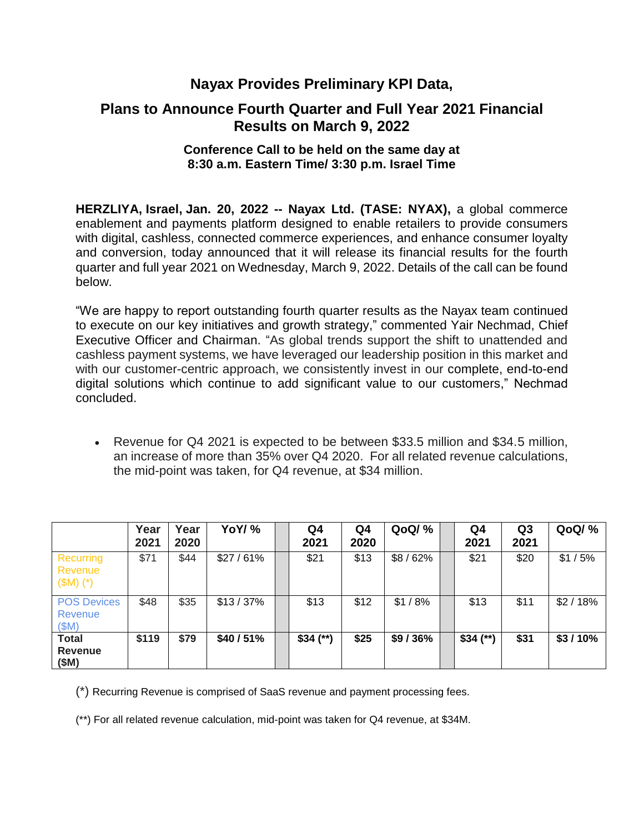# **Nayax Provides Preliminary KPI Data,**

# **Plans to Announce Fourth Quarter and Full Year 2021 Financial Results on March 9, 2022**

### **Conference Call to be held on the same day at 8:30 a.m. Eastern Time/ 3:30 p.m. Israel Time**

**HERZLIYA, Israel, Jan. 20, 2022 -- Nayax Ltd. (TASE: NYAX),** a global commerce enablement and payments platform designed to enable retailers to provide consumers with digital, cashless, connected commerce experiences, and enhance consumer loyalty and conversion, today announced that it will release its financial results for the fourth quarter and full year 2021 on Wednesday, March 9, 2022. Details of the call can be found below.

"We are happy to report outstanding fourth quarter results as the Nayax team continued to execute on our key initiatives and growth strategy," commented Yair Nechmad, Chief Executive Officer and Chairman. "As global trends support the shift to unattended and cashless payment systems, we have leveraged our leadership position in this market and with our customer-centric approach, we consistently invest in our complete, end-to-end digital solutions which continue to add significant value to our customers," Nechmad concluded.

 Revenue for Q4 2021 is expected to be between \$33.5 million and \$34.5 million, an increase of more than 35% over Q4 2020. For all related revenue calculations, the mid-point was taken, for Q4 revenue, at \$34 million.

|                                        | Year<br>2021 | Year<br>2020 | YoY/%      | Q4<br>2021 | Q4<br>2020 | <b>QoQ/%</b> | Q4<br>2021 | Q <sub>3</sub><br>2021 | QoQ/%     |
|----------------------------------------|--------------|--------------|------------|------------|------------|--------------|------------|------------------------|-----------|
| Recurring<br>Revenue<br>$(SM)$ $(*)$   | \$71         | \$44         | $$27/61\%$ | \$21       | \$13       | $$8/62\%$    | \$21       | \$20                   | \$1/5%    |
| <b>POS Devices</b><br>Revenue<br>(SM)  | \$48         | \$35         | $$13/37\%$ | \$13       | \$12       | $$1/8\%$     | \$13       | \$11                   | \$2/18%   |
| <b>Total</b><br><b>Revenue</b><br>(SM) | \$119        | \$79         | \$40/51%   | $$34$ (**) | \$25       | \$9/36%      | $$34$ (**) | \$31                   | $$3/10\%$ |

(\*) Recurring Revenue is comprised of SaaS revenue and payment processing fees.

(\*\*) For all related revenue calculation, mid-point was taken for Q4 revenue, at \$34M.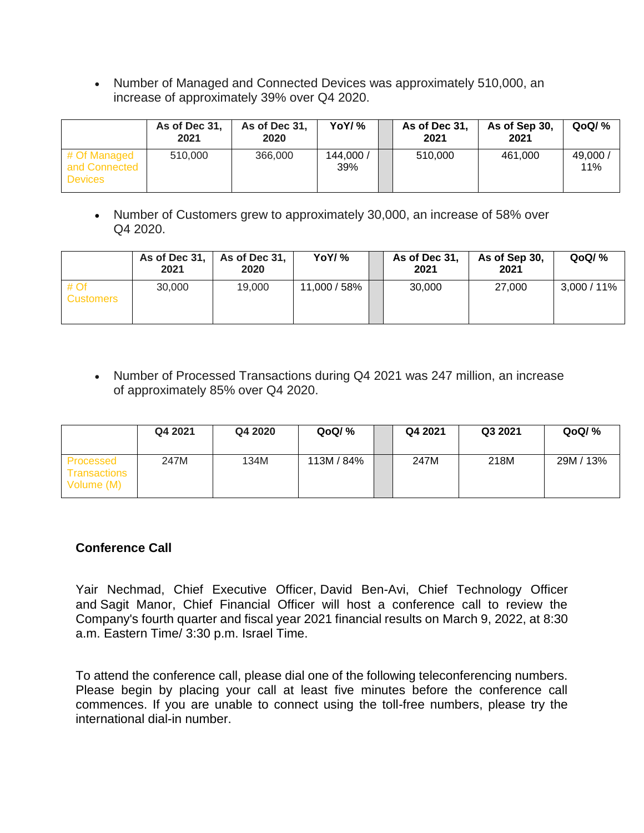• Number of Managed and Connected Devices was approximately 510,000, an increase of approximately 39% over Q4 2020.

|                                                 | As of Dec 31,<br>2021 | As of Dec 31,<br>2020 | YoY/ %           | As of Dec 31,<br>2021 | As of Sep 30,<br>2021 | QoQ/ %          |
|-------------------------------------------------|-----------------------|-----------------------|------------------|-----------------------|-----------------------|-----------------|
| # Of Managed<br>and Connected<br><b>Devices</b> | 510,000               | 366,000               | 144,000 /<br>39% | 510,000               | 461.000               | 49,000 /<br>11% |

 Number of Customers grew to approximately 30,000, an increase of 58% over Q4 2020.

|                          | As of Dec 31,<br>2021 | As of Dec 31,<br>2020 | YoY/%        | As of Dec 31,<br>2021 | As of Sep 30,<br>2021 | QoQ/N <sub>o</sub> |
|--------------------------|-----------------------|-----------------------|--------------|-----------------------|-----------------------|--------------------|
| # Of<br><b>Customers</b> | 30,000                | 19,000                | 11,000 / 58% | 30,000                | 27,000                | $3,000 / 11\%$     |

• Number of Processed Transactions during Q4 2021 was 247 million, an increase of approximately 85% over Q4 2020.

|                                                | Q4 2021 | Q4 2020 | QoQ/ %     | Q4 2021 | Q3 2021 | QoQ/N <sub>o</sub> |
|------------------------------------------------|---------|---------|------------|---------|---------|--------------------|
| Processed<br><b>Transactions</b><br>Volume (M) | 247M    | 134M    | 113M / 84% | 247M    | 218M    | 29M / 13%          |

## **Conference Call**

Yair Nechmad, Chief Executive Officer, David Ben-Avi, Chief Technology Officer and Sagit Manor, Chief Financial Officer will host a conference call to review the Company's fourth quarter and fiscal year 2021 financial results on March 9, 2022, at 8:30 a.m. Eastern Time/ 3:30 p.m. Israel Time.

To attend the conference call, please dial one of the following teleconferencing numbers. Please begin by placing your call at least five minutes before the conference call commences. If you are unable to connect using the toll-free numbers, please try the international dial-in number.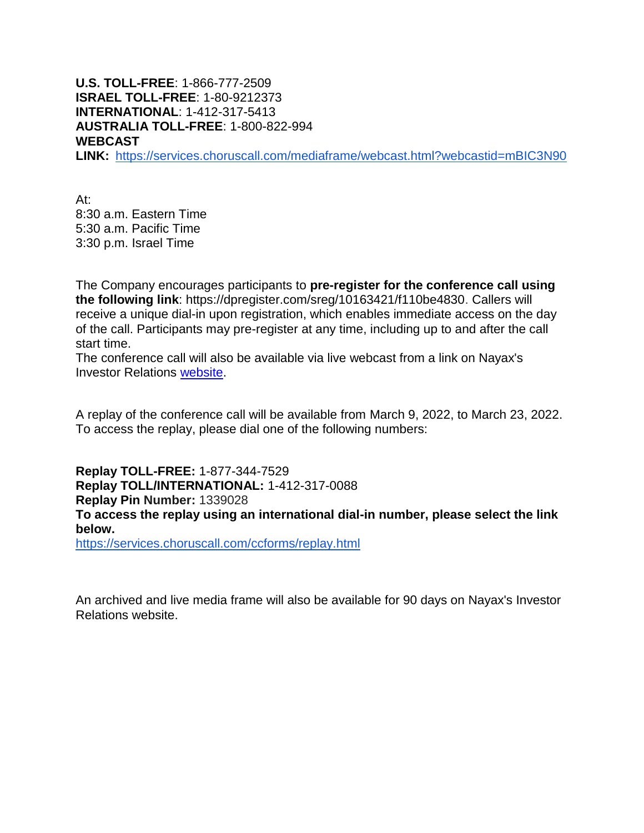**U.S. TOLL-FREE**: 1-866-777-2509 **ISRAEL TOLL-FREE**: 1-80-9212373 **INTERNATIONAL**: 1-412-317-5413 **AUSTRALIA TOLL-FREE**: 1-800-822-994 **WEBCAST LINK:** <https://services.choruscall.com/mediaframe/webcast.html?webcastid=mBIC3N90>

At: 8:30 a.m. Eastern Time 5:30 a.m. Pacific Time 3:30 p.m. Israel Time

The Company encourages participants to **pre-register for the conference call using the following link**: [https://dpregister.com/sreg/10163421/f110be4830.](https://dpregister.com/sreg/10163421/f110be4830) Callers will receive a unique dial-in upon registration, which enables immediate access on the day of the call. Participants may pre-register at any time, including up to and after the call start time.

The conference call will also be available via live webcast from a link on Nayax's Investor Relations [website.](https://ir.nayax.com/ir-presentations/)

A replay of the conference call will be available from March 9, 2022, to March 23, 2022. To access the replay, please dial one of the following numbers:

**Replay TOLL-FREE:** 1-877-344-7529 **Replay TOLL/INTERNATIONAL:** 1-412-317-0088 **Replay Pin Number:** 1339028 **To access the replay using an international dial-in number, please select the link below.**

<https://services.choruscall.com/ccforms/replay.html>

An archived and live media frame will also be available for 90 days on Nayax's Investor Relations website.